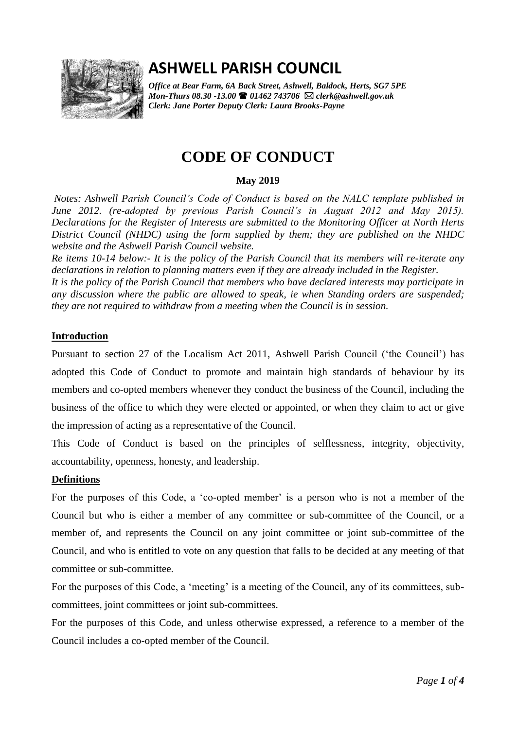

# **ASHWELL PARISH COUNCIL**

*Office at Bear Farm, 6A Back Street, Ashwell, Baldock, Herts, SG7 5PE Mon-Thurs 08.30 -13.00 01462 743706 clerk@ashwell.gov.uk Clerk: Jane Porter Deputy Clerk: Laura Brooks-Payne* 

## **CODE OF CONDUCT**

## **May 2019**

*Notes: Ashwell Parish Council's Code of Conduct is based on the NALC template published in June 2012. (re-adopted by previous Parish Council's in August 2012 and May 2015). Declarations for the Register of Interests are submitted to the Monitoring Officer at North Herts District Council (NHDC) using the form supplied by them; they are published on the NHDC website and the Ashwell Parish Council website.* 

*Re items 10-14 below:- It is the policy of the Parish Council that its members will re-iterate any declarations in relation to planning matters even if they are already included in the Register. It is the policy of the Parish Council that members who have declared interests may participate in* 

*any discussion where the public are allowed to speak, ie when Standing orders are suspended; they are not required to withdraw from a meeting when the Council is in session.* 

## **Introduction**

Pursuant to section 27 of the Localism Act 2011, Ashwell Parish Council ('the Council') has adopted this Code of Conduct to promote and maintain high standards of behaviour by its members and co-opted members whenever they conduct the business of the Council, including the business of the office to which they were elected or appointed, or when they claim to act or give the impression of acting as a representative of the Council.

This Code of Conduct is based on the principles of selflessness, integrity, objectivity, accountability, openness, honesty, and leadership.

## **Definitions**

For the purposes of this Code, a 'co-opted member' is a person who is not a member of the Council but who is either a member of any committee or sub-committee of the Council, or a member of, and represents the Council on any joint committee or joint sub-committee of the Council, and who is entitled to vote on any question that falls to be decided at any meeting of that committee or sub-committee.

For the purposes of this Code, a 'meeting' is a meeting of the Council, any of its committees, subcommittees, joint committees or joint sub-committees.

For the purposes of this Code, and unless otherwise expressed, a reference to a member of the Council includes a co-opted member of the Council.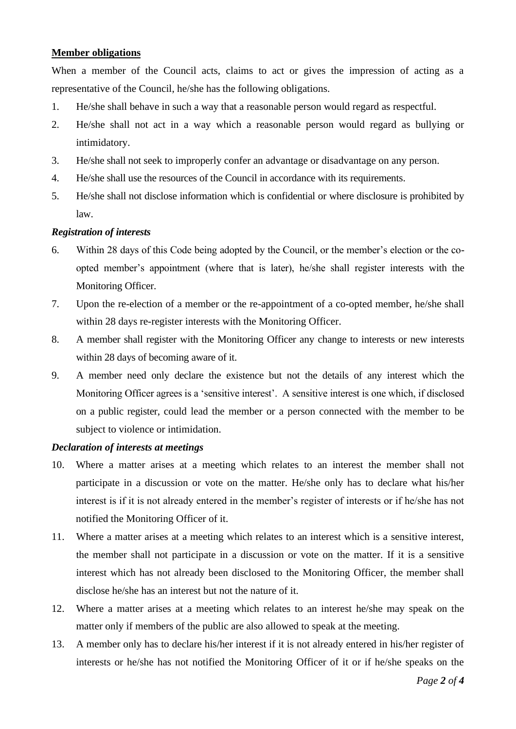#### **Member obligations**

When a member of the Council acts, claims to act or gives the impression of acting as a representative of the Council, he/she has the following obligations.

- 1. He/she shall behave in such a way that a reasonable person would regard as respectful.
- 2. He/she shall not act in a way which a reasonable person would regard as bullying or intimidatory.
- 3. He/she shall not seek to improperly confer an advantage or disadvantage on any person.
- 4. He/she shall use the resources of the Council in accordance with its requirements.
- 5. He/she shall not disclose information which is confidential or where disclosure is prohibited by law.

#### *Registration of interests*

- 6. Within 28 days of this Code being adopted by the Council, or the member's election or the coopted member's appointment (where that is later), he/she shall register interests with the Monitoring Officer.
- 7. Upon the re-election of a member or the re-appointment of a co-opted member, he/she shall within 28 days re-register interests with the Monitoring Officer.
- 8. A member shall register with the Monitoring Officer any change to interests or new interests within 28 days of becoming aware of it.
- 9. A member need only declare the existence but not the details of any interest which the Monitoring Officer agrees is a 'sensitive interest'. A sensitive interest is one which, if disclosed on a public register, could lead the member or a person connected with the member to be subject to violence or intimidation.

#### *Declaration of interests at meetings*

- 10. Where a matter arises at a meeting which relates to an interest the member shall not participate in a discussion or vote on the matter. He/she only has to declare what his/her interest is if it is not already entered in the member's register of interests or if he/she has not notified the Monitoring Officer of it.
- 11. Where a matter arises at a meeting which relates to an interest which is a sensitive interest, the member shall not participate in a discussion or vote on the matter. If it is a sensitive interest which has not already been disclosed to the Monitoring Officer, the member shall disclose he/she has an interest but not the nature of it.
- 12. Where a matter arises at a meeting which relates to an interest he/she may speak on the matter only if members of the public are also allowed to speak at the meeting.
- 13. A member only has to declare his/her interest if it is not already entered in his/her register of interests or he/she has not notified the Monitoring Officer of it or if he/she speaks on the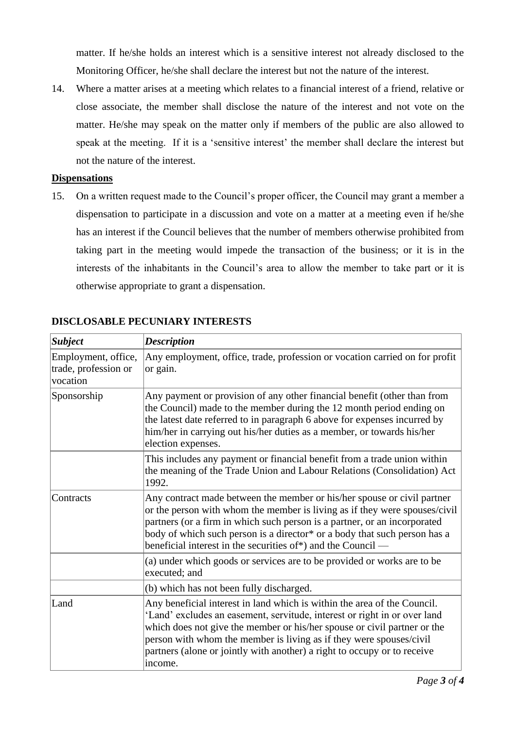matter. If he/she holds an interest which is a sensitive interest not already disclosed to the Monitoring Officer, he/she shall declare the interest but not the nature of the interest.

14. Where a matter arises at a meeting which relates to a financial interest of a friend, relative or close associate, the member shall disclose the nature of the interest and not vote on the matter. He/she may speak on the matter only if members of the public are also allowed to speak at the meeting. If it is a 'sensitive interest' the member shall declare the interest but not the nature of the interest.

#### **Dispensations**

15. On a written request made to the Council's proper officer, the Council may grant a member a dispensation to participate in a discussion and vote on a matter at a meeting even if he/she has an interest if the Council believes that the number of members otherwise prohibited from taking part in the meeting would impede the transaction of the business; or it is in the interests of the inhabitants in the Council's area to allow the member to take part or it is otherwise appropriate to grant a dispensation.

| <b>Subject</b>                                          | <b>Description</b>                                                                                                                                                                                                                                                                                                                                                                              |
|---------------------------------------------------------|-------------------------------------------------------------------------------------------------------------------------------------------------------------------------------------------------------------------------------------------------------------------------------------------------------------------------------------------------------------------------------------------------|
| Employment, office,<br>trade, profession or<br>vocation | Any employment, office, trade, profession or vocation carried on for profit<br>or gain.                                                                                                                                                                                                                                                                                                         |
| Sponsorship                                             | Any payment or provision of any other financial benefit (other than from<br>the Council) made to the member during the 12 month period ending on<br>the latest date referred to in paragraph 6 above for expenses incurred by<br>him/her in carrying out his/her duties as a member, or towards his/her<br>election expenses.                                                                   |
|                                                         | This includes any payment or financial benefit from a trade union within<br>the meaning of the Trade Union and Labour Relations (Consolidation) Act<br>1992.                                                                                                                                                                                                                                    |
| Contracts                                               | Any contract made between the member or his/her spouse or civil partner<br>or the person with whom the member is living as if they were spouses/civil<br>partners (or a firm in which such person is a partner, or an incorporated<br>body of which such person is a director* or a body that such person has a<br>beneficial interest in the securities of*) and the Council —                 |
|                                                         | (a) under which goods or services are to be provided or works are to be<br>executed; and                                                                                                                                                                                                                                                                                                        |
|                                                         | (b) which has not been fully discharged.                                                                                                                                                                                                                                                                                                                                                        |
| Land                                                    | Any beneficial interest in land which is within the area of the Council.<br>'Land' excludes an easement, servitude, interest or right in or over land<br>which does not give the member or his/her spouse or civil partner or the<br>person with whom the member is living as if they were spouses/civil<br>partners (alone or jointly with another) a right to occupy or to receive<br>income. |

## **DISCLOSABLE PECUNIARY INTERESTS**